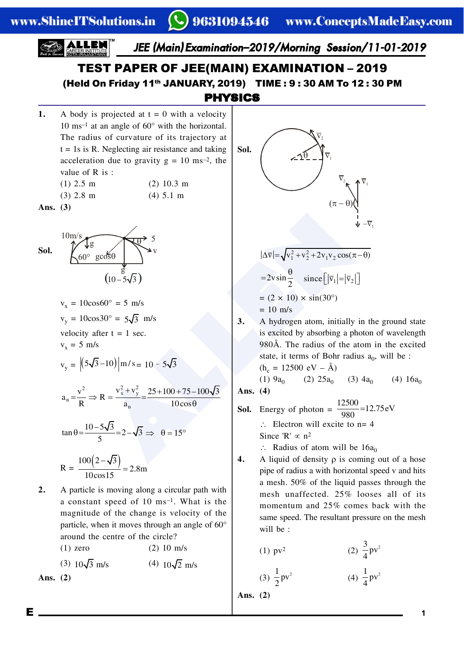www.ShineITSolutions.in



- $R = \frac{100(2-\sqrt{3})}{10^{12} \text{ m/s}} = 2.8 \text{m}$ 10cos15  $\frac{-\sqrt{3}}{15}$  =
- **2.** A particle is moving along a circular path with a constant speed of 10 ms–1. What is the magnitude of the change is velocity of the particle, when it moves through an angle of 60° around the centre of the circle?
- (1) zero (2) 10 m/s (3)  $10\sqrt{3}$  m/s (4)  $10\sqrt{2}$  m/s **Ans. (2)**
- **4.** A liquid of density  $\rho$  is coming out of a hose pipe of radius a with horizontal speed v and hits a mesh. 50% of the liquid passes through the mesh unaffected. 25% looses all of its momentum and 25% comes back with the same speed. The resultant pressure on the mesh will be :

(1) 
$$
pv^2
$$
 (2)  $\frac{3}{4}pv^2$ 

(3) 
$$
\frac{1}{2}pv^2
$$
 (4)  $\frac{1}{4}pv^2$ 

**Ans. (2)**

E **1**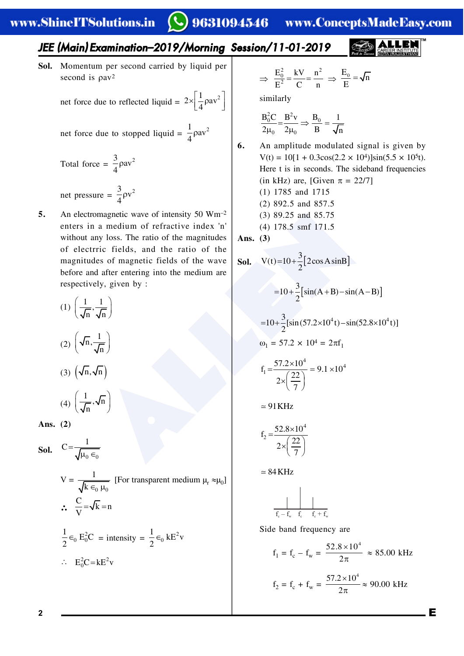### *JEE (Main) Examination–2019/Morning Session/11-01-2019*

**Sol.** Momentum per second carried by liquid per second is  $\rho a v^2$ 

> net force due to reflected liquid =  $2 \times \left| \frac{1}{4} \rho a v^2 \right|$  $\times \left[ \frac{1}{4} \rho a v^2 \right]$

net force due to stopped liquid = 
$$
\frac{1}{4}\rho av^2
$$

- Total force =  $\frac{3}{4}$  $\rho$ av<sup>2</sup> 4 ρ net pressure =  $\frac{3}{4} \rho v^2$ ρ
- **5.** An electromagnetic wave of intensity 50 Wm–2 enters in a medium of refractive index 'n' without any loss. The ratio of the magnitudes of electrric fields, and the ratio of the magnitudes of magnetic fields of the wave before and after entering into the medium are respectively, given by :

4

(1) 
$$
\left(\frac{1}{\sqrt{n}}, \frac{1}{\sqrt{n}}\right)
$$
  
\n(2)  $\left(\sqrt{n}, \frac{1}{\sqrt{n}}\right)$   
\n(3)  $\left(\sqrt{n}, \sqrt{n}\right)$   
\n(4)  $\left(\frac{1}{\sqrt{n}}, \sqrt{n}\right)$ 

**Ans. (2)**

**Sol.**  $C = \frac{1}{\sqrt{\mu_0 \epsilon_0}}$ 

(4)

$$
V = \frac{1}{\sqrt{k \epsilon_0 \mu_0}}
$$
 [For transparent medium  $\mu_r \approx \mu_0$ ]  
\n
$$
\therefore \frac{C}{V} = \sqrt{k} = n
$$
\n
$$
\frac{1}{2} \epsilon_0 E_0^2 C = \text{intensity} = \frac{1}{2} \epsilon_0 k E^2 v
$$
\n
$$
\therefore E_0^2 C = k E^2 v
$$

$$
\Rightarrow \frac{E_0^2}{E^2} = \frac{kV}{C} = \frac{n^2}{n} \Rightarrow \frac{E_0}{E} = \sqrt{n}
$$

similarly

$$
\frac{B_0^2 C}{2\mu_0} = \frac{B^2 v}{2\mu_0} \Rightarrow \frac{B_0}{B} = \frac{1}{\sqrt{n}}
$$

**6.** An amplitude modulated signal is given by  $V(t) = 10[1 + 0.3\cos(2.2 \times 10^4)]\sin(5.5 \times 10^5 t).$ Here t is in seconds. The sideband frequencies (in kHz) are, [Given  $\pi = 22/7$ ] (1) 1785 and 1715 (2) 892.5 and 857.5 (3) 89.25 and 85.75 (4) 178.5 smf 171.5

**Ans. (3)**

 **Sol.** <sup>3</sup> V(t) 10 2cosAsinB <sup>2</sup> <sup>3</sup> 10 sin(A B) sin(A B) <sup>2</sup> <sup>3</sup> 4 4 10 [sin(57.2 10 t)–sin(52.8 10 t)] <sup>2</sup> 1 = 57.2 × 104 = 2f1 4 4 1 57.2 10 f 9.1 10 <sup>22</sup> <sup>2</sup> 7 91KHz 4 2 52.8 10 <sup>f</sup> <sup>22</sup> <sup>2</sup> 7 84KHz f – f c w fc f + f c w

Side band frequency are

$$
f_1 = f_c - f_w = \frac{52.8 \times 10^4}{2\pi} \approx 85.00 \text{ kHz}
$$
  
 $f_2 = f_c + f_w = \frac{57.2 \times 10^4}{2\pi} \approx 90.00 \text{ kHz}$ 

 $2\pi$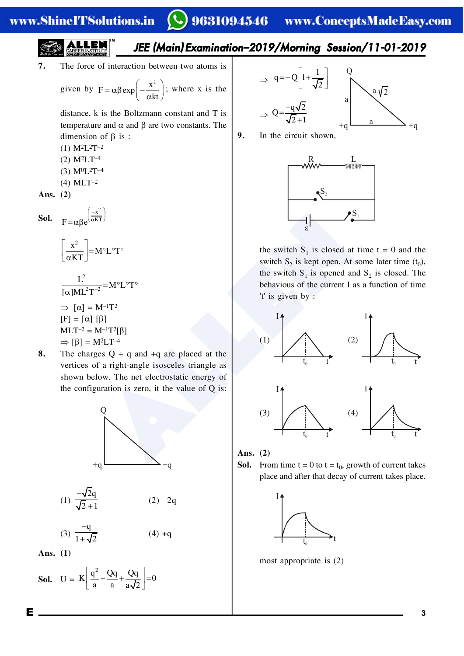## *JEE (Main) Examination–2019/Morning Session/11-01-2019*

**7.** The force of interaction between two atoms is

given by 
$$
F = \alpha \beta \exp\left(-\frac{x^2}{\alpha kt}\right)
$$
; where x is the

distance, k is the Boltzmann constant and T is temperature and  $\alpha$  and  $\beta$  are two constants. The dimension of  $\beta$  is :

- (1) M2L2T–2
- (2) M2LT–4
- (3) M0L2T–4
- (4) MLT–2

**Ans. (2)**

**Sol.** 
$$
F = \alpha \beta e^{\left(\frac{-x^2}{\alpha KT}\right)}
$$

$$
\left[\frac{x^2}{\alpha KT}\right] = M^\circ L^\circ T^\circ
$$

$$
L^{2}
$$
  
\n
$$
\overline{[\alpha]ML^{2}T^{-2}} = M^{\circ}L^{\circ}T^{\circ}
$$
  
\n
$$
\Rightarrow [\alpha] = M^{-1}T^{2}
$$
  
\n
$$
[F] = [\alpha] [\beta]
$$
  
\n
$$
MLT^{-2} = M^{-1}T^{2}[\beta]
$$
  
\n
$$
\Rightarrow [\beta] = M^{2}LT^{-4}
$$

**8.** The charges Q + q and +q are placed at the vertices of a right-angle isosceles triangle as shown below. The net electrostatic energy of the configuration is zero, it the value of Q is:



(1) 
$$
\frac{-\sqrt{2}q}{\sqrt{2}+1}
$$
 (2) -2q

(3) 
$$
\frac{-q}{1+\sqrt{2}}
$$
 (4) +q

**Ans. (1)**

**Sol.** 
$$
U = K \left[ \frac{q^2}{a} + \frac{Qq}{a} + \frac{Qq}{a\sqrt{2}} \right] = 0
$$

$$
\Rightarrow q = -Q \left[ 1 + \frac{1}{\sqrt{2}} \right] \qquad Q
$$
  

$$
\Rightarrow Q = \frac{-q\sqrt{2}}{\sqrt{2} + 1} \qquad Q
$$
  

$$
+q
$$

**9.** In the circuit shown,



the switch  $S_1$  is closed at time  $t = 0$  and the switch  $S_2$  is kept open. At some later time  $(t_0)$ , the switch  $S_1$  is opened and  $S_2$  is closed. The behavious of the current I as a function of time 't' is given by :



**Ans. (2)**

**Sol.** From time  $t = 0$  to  $t = t_0$ , growth of current takes place and after that decay of current takes place.



most appropriate is (2)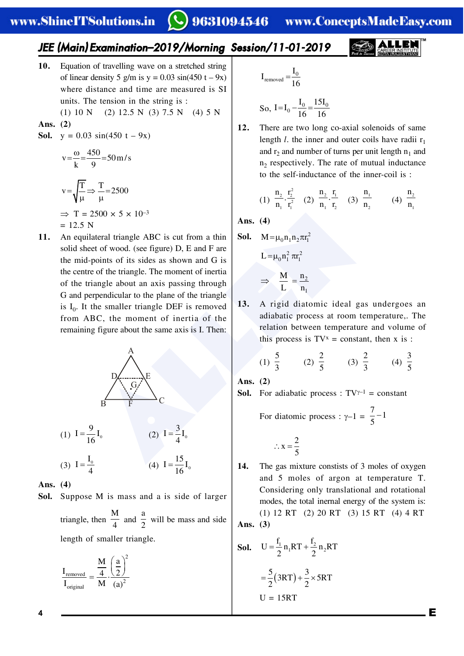### *JEE (Main) Examination–2019/Morning Session/11-01-2019*

**10.** Equation of travelling wave on a stretched string of linear density 5 g/m is  $y = 0.03 \sin(450 t - 9x)$ where distance and time are measured is SI units. The tension in the string is :

$$
(1) 10 N \t(2) 12.5 N \t(3) 7.5 N \t(4) 5 N
$$

**Ans. (2)**

**Sol.**  $y = 0.03 \sin(450 t - 9x)$ 

$$
v = \frac{\omega}{k} = \frac{450}{9} = 50 \text{ m/s}
$$
  

$$
v = \sqrt{\frac{T}{\mu}} \Rightarrow \frac{T}{\mu} = 2500
$$
  

$$
\Rightarrow T = 2500 \times 5 \times 10^{-3}
$$
  
= 12.5 N

500 x 5 x 10<sup>-3</sup><br>
Ans. (4)<br>
the traingle ABC is cut from a thin<br>
ooints of its sides as shown and G is<br>
of the triangle. The moment of inertia<br>
of the triangle. The moment of inertia<br>
angle about an axis passing through<br> **11.** An equilateral triangle ABC is cut from a thin solid sheet of wood. (see figure) D, E and F are the mid-points of its sides as shown and G is the centre of the triangle. The moment of inertia of the triangle about an axis passing through G and perpendicular to the plane of the triangle is  $I_0$ . It the smaller triangle DEF is removed from ABC, the moment of inertia of the remaining figure about the same axis is I. Then:



(1) 
$$
I = \frac{9}{16}I_0
$$
  
\n(2)  $I = \frac{3}{4}I_0$   
\n(3)  $I = \frac{I_0}{4}$   
\n(4)  $I = \frac{15}{16}I_0$ 

**Ans. (4)**

**Sol.** Suppose M is mass and a is side of larger triangle, then 
$$
\frac{M}{4}
$$
 and  $\frac{a}{2}$  will be mass and side length of smaller triangle.

$$
\frac{I_{\textrm{removed}}}{I_{\textrm{original}}} = \frac{\dfrac{M}{4} \cdot \left(\dfrac{a}{2}\right)^2}{M \cdot \left(a\right)^2}
$$

$$
I_{\text{removed}} = \frac{I_0}{16}
$$

So, I=I<sub>0</sub> 
$$
-\frac{I_0}{16} = \frac{15I_0}{16}
$$

**12.** There are two long co-axial solenoids of same length *l*. the inner and outer coils have radii  $r_1$ and  $r_2$  and number of turns per unit length  $n_1$  and  $n<sub>2</sub>$  respectively. The rate of mutual inductance to the self-inductance of the inner-coil is :

(1) 
$$
\frac{n_2}{n_1} \cdot \frac{r_2^2}{r_1^2}
$$
 (2)  $\frac{n_2}{n_1} \cdot \frac{r_1}{r_2}$  (3)  $\frac{n_1}{n_2}$  (4)  $\frac{n_2}{n_1}$ 

**Ans. (4)**

**Sol.** 
$$
M = \mu_0 n_1 n_2 \pi r_1^2
$$
  
 $L = \mu_0 n_1^2 \pi r_1^2$ 

$$
\Rightarrow \quad \frac{M}{L} = \frac{n_2}{n_1}
$$

**13.** A rigid diatomic ideal gas undergoes an adiabatic process at room temperature,. The relation between temperature and volume of this process is  $TV^x = constant$ , then x is :

(1) 
$$
\frac{5}{3}
$$
 (2)  $\frac{2}{5}$  (3)  $\frac{2}{3}$  (4)  $\frac{3}{5}$ 

**Ans. (2)**

**Sol.** For adiabatic process :  $TVY^{-1} = constant$ 

For diatomic process :  $\gamma - 1 = \frac{7}{5} - 1$ 5  $\overline{\phantom{0}}$ 

$$
\therefore x = \frac{2}{5}
$$

**14.** The gas mixture constists of 3 moles of oxygen and 5 moles of argon at temperature T. Considering only translational and rotational modes, the total inernal energy of the system is: (1) 12 RT (2) 20 RT (3) 15 RT (4) 4 RT

**Ans. (3)**

**Sol.** 
$$
U = \frac{f_1}{2} n_1 RT + \frac{f_2}{2} n_2 RT
$$
  
 $= \frac{5}{2} (3RT) + \frac{3}{2} \times 5RT$   
 $U = 15RT$ 

**4** E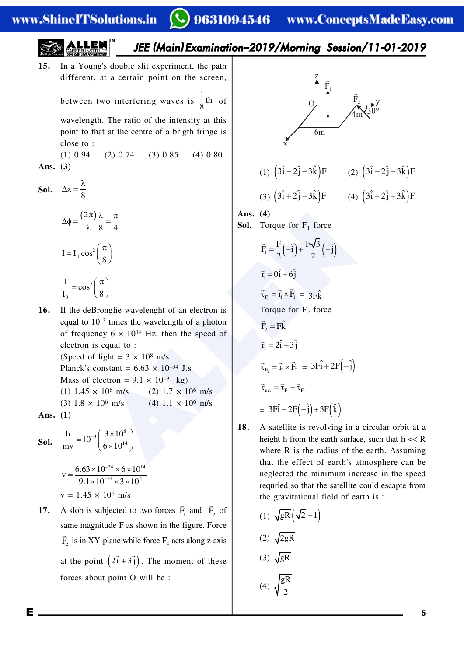*JEE (Main) Examination–2019/Morning Session/11-01-2019*

**15.** In a Young's double slit experiment, the path different, at a certain point on the screen,

> between two interfering waves is  $\frac{1}{8}$ th  $\frac{-}{8}$ <sup>th</sup> of

> wavelength. The ratio of the intensity at this point to that at the centre of a brigth fringe is close to :

 $(1)$  0.94  $(2)$  0.74  $(3)$  0.85  $(4)$  0.80 **Ans. (3)**

**Sol.**  $\Delta x = \frac{\lambda}{8}$  $\Delta x = \frac{\lambda}{\epsilon}$ 

$$
\Delta \phi = \frac{(2\pi)}{\lambda} \frac{\lambda}{8} = \frac{\pi}{4}
$$

$$
I = I_0 \cos^2 \left(\frac{\pi}{8}\right)
$$

$$
\frac{I}{I_0} = \cos^2 \left(\frac{\pi}{8}\right)
$$

**16.** If the deBronglie wavelenght of an electron is equal to 10–3 times the wavelength of a photon of frequency  $6 \times 10^{14}$  Hz, then the speed of electron is equal to : (Speed of light =  $3 \times 10^8$  m/s Planck's constant =  $6.63 \times 10^{-34}$  J.s Mass of electron =  $9.1 \times 10^{-31}$  kg) (1)  $1.45 \times 10^6$  m/s (2)  $1.7 \times 10^6$  m/s (3)  $1.8 \times 10^6$  m/s (4)  $1.1 \times 10^6$  m/s

**Ans. (1)**

**Sol.** 
$$
\frac{h}{mv} = 10^{-3} \left( \frac{3 \times 10^8}{6 \times 10^{14}} \right)
$$

$$
v = \frac{6.63 \times 10^{-34} \times 6 \times 10^{14}}{9.1 \times 10^{-31} \times 3 \times 10^{5}}
$$
  

$$
v = 1.45 \times 10^{6} \text{ m/s}
$$

**17.** A slob is subjected to two forces  $\mathbf{F}_1$  $\overline{a}$ and  $\vec{F}_2$  of same magnitude F as shown in the figure. Force  $\vec{F}_2$  is in XY-plane while force  $F_1$  acts along z-axis at the point  $(2\vec{i} + 3\vec{j})$ . The moment of these forces about point O will be :



- **18.** A satellite is revolving in a circular orbit at a height h from the earth surface, such that  $h \ll R$ where R is the radius of the earth. Assuming that the effect of earth's atmosphere can be neglected the minimum increase in the speed requried so that the satellite could escapte from the gravitational field of earth is :
	- (1)  $\sqrt{gR}(\sqrt{2}-1)$

$$
(2) \sqrt{2gR}
$$

$$
(3) \sqrt{gR}
$$

(4)  $\sqrt{\frac{gR}{2}}$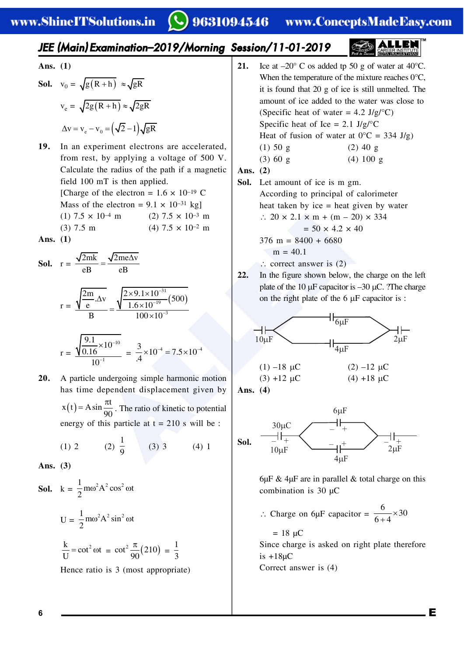### *JEE (Main) Examination–2019/Morning Session/11-01-2019*

**Ans. (1)**

**Sol.** 
$$
v_0 = \sqrt{g(R+h)} \approx \sqrt{gR}
$$
  

$$
v_e = \sqrt{2g(R+h)} \approx \sqrt{2gR}
$$

$$
\Delta v = v_e - v_0 = (\sqrt{2} - 1)\sqrt{gR}
$$

**19.** In an experiment electrons are accelerated, from rest, by applying a voltage of 500 V. Calculate the radius of the path if a magnetic field 100 mT is then applied. [Charge of the electron =  $1.6 \times 10^{-19}$  C Mass of the electron =  $9.1 \times 10^{-31}$  kg] (1)  $7.5 \times 10^{-4}$  m (2)  $7.5 \times 10^{-3}$  m (3) 7.5 m (4) 7.5  $\times$  10<sup>-2</sup> m

**Ans. (1)**

**Sol.** 
$$
r = \frac{\sqrt{2mk}}{eB} = \frac{\sqrt{2me\Delta v}}{eB}
$$

$$
r = \frac{\sqrt{\frac{2m}{e}}. \Delta v}{B} = \frac{\sqrt{\frac{2 \times 9.1 \times 10^{-31}}{1.6 \times 10^{-19}} (500)}}{100 \times 10^{-3}}
$$

$$
r = \frac{\sqrt{\frac{9.1}{0.16} \times 10^{-10}}}{10^{-1}} = \frac{3}{.4} \times 10^{-4} = 7.5 \times 10^{-4}
$$

**20.** A particle undergoing simple harmonic motion has time dependent displacement given by  $x(t) = A \sin \frac{\pi t}{20}$  $= A \sin \frac{\pi t}{90}$ . The ratio of kinetic to potential energy of this particle at  $t = 210$  s will be :

(1) 2 (2) 
$$
\frac{1}{9}
$$
 (3) 3 (4) 1

**Ans. (3)**

**Sol.**  $k = \frac{1}{2} m \omega^2 A^2 \cos^2 \omega t$ 2  $\omega^2 A^2 \cos^2 \omega$  $U = \frac{1}{2} m \omega^2 A^2 \sin^2 \omega t$ 2  $\omega^2 A^2 \sin^2 \omega$  $\frac{k}{\sqrt{2}}$  = cot<sup>2</sup> ot  $\frac{k}{U} = \cot^2 \omega t = \cot^2 \frac{\pi}{90} (210) = \frac{1}{3}$ Hence ratio is 3 (most appropriate) **21.** Ice at  $-20^{\circ}$  C os added tp 50 g of water at 40 $^{\circ}$ C. When the temperature of the mixture reaches 0°C, it is found that 20 g of ice is still unmelted. The amount of ice added to the water was close to (Specific heat of water =  $4.2 \text{ J/g} / \text{°C}$ ) Specific heat of Ice =  $2.1 \text{ J/g}$ <sup>o</sup>C Heat of fusion of water at  $0^{\circ}C = 334$  J/g) (1)  $50 \text{ g}$  (2)  $40 \text{ g}$ (3) 60 g (4) 100 g

#### **Ans. (2)**

- **Sol.** Let amount of ice is m gm. According to principal of calorimeter heat taken by ice = heat given by water  $\therefore$  20  $\times$  2.1  $\times$  m + (m – 20)  $\times$  334  $= 50 \times 4.2 \times 40$  $376 \text{ m} = 8400 + 6680$  $m = 40.1$ 
	- $\therefore$  correct answer is (2)
- **22.** In the figure shown below, the charge on the left plate of the 10  $\mu$ F capacitor is  $-30 \mu$ C. ?The charge on the right plate of the  $6 \mu$ F capacitor is :



**Ans. (4)**



 $6\mu$ F & 4 $\mu$ F are in parallel & total charge on this combination is 30  $\mu$ C

∴ Charge on 6µF capacitor =  $\frac{6}{6}$  × 30  $6 + 4$  $\times$  $\ddot{}$ 

 $= 18 \text{ } \mu\text{C}$ Since charge is asked on right plate therefore is  $+18\mu C$ Correct answer is (4)

**6** E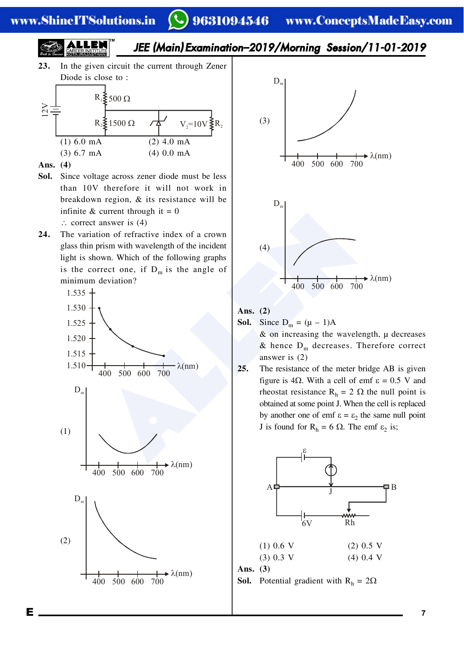#### www.ShineITSolutions.in

# 9631094546 www.ConceptsMadeEasy.com



**23.** In the given circuit the current through Zener Diode is close to :



- **Ans. (4)**
- **Sol.** Since voltage across zener diode must be less than 10V therefore it will not work in breakdown region, & its resistance will be infinite & current through it =  $0$ 
	- $\therefore$  correct answer is (4)
- **24.** The variation of refractive index of a crown glass thin prism with wavelength of the incident light is shown. Which of the following graphs is the correct one, if  $D_m$  is the angle of minimum deviation?





#### **Ans. (2)**

**Sol.** Since  $D_m = (\mu - 1)A$ 

 $\&$  on increasing the wavelength,  $\mu$  decreases & hence  $D_m$  decreases. Therefore correct answer is (2)

**25.** The resistance of the meter bridge AB is given figure is 4 $\Omega$ . With a cell of emf  $\varepsilon = 0.5$  V and rheostat resistance  $R_h = 2 \Omega$  the null point is obtained at some point J. When the cell is replaced by another one of emf  $\varepsilon = \varepsilon_2$  the same null point J is found for  $R_h = 6 \Omega$ . The emf  $\varepsilon_2$  is;



**Ans. (3)**

**Sol.** Potential gradient with  $R_h = 2\Omega$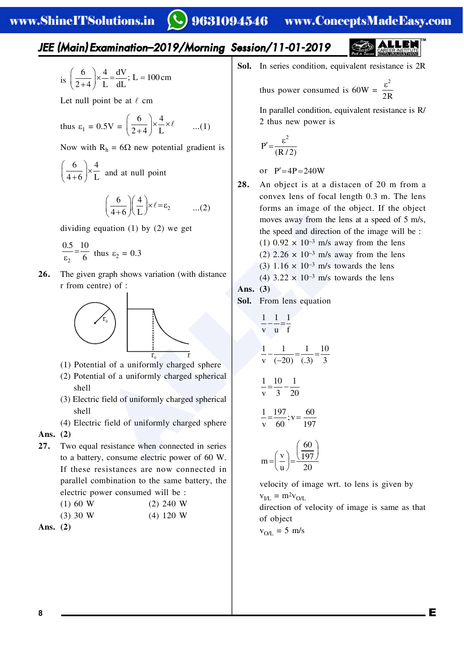## *JEE (Main) Examination–2019/Morning Session/11-01-2019*

is 
$$
\left(\frac{6}{2+4}\right) \times \frac{4}{L} = \frac{dV}{dL}
$$
; L = 100 cm

Let null point be at  $\ell$  cm

thus 
$$
\varepsilon_1 = 0.5V = \left(\frac{6}{2+4}\right) \times \frac{4}{L} \times \ell
$$
 ...(1)

Now with  $R_h = 6\Omega$  new potential gradient is

6  $\big)$  4 4+6 J L  $\left(\frac{6}{4+6}\right) \times \frac{4}{L}$  and at null point

$$
\left(\frac{6}{4+6}\right)\left(\frac{4}{L}\right) \times \ell = \epsilon_2 \qquad \dots (2)
$$

dividing equation (1) by (2) we get

$$
\frac{0.5}{\varepsilon_2} = \frac{10}{6}
$$
 thus  $\varepsilon_2 = 0.3$ 

**26.** The given graph shows variation (with distance r from centre) of :



- (1) Potential of a uniformly charged sphere
- (2) Potential of a uniformly charged spherical shell
- (3) Electric field of uniformly charged spherical shell
- (4) Electric field of uniformly charged sphere **Ans. (2)**
- **27.** Two equal resistance when connected in series to a battery, consume electric power of 60 W. If these resistances are now connected in parallel combination to the same battery, the electric power consumed will be :

| (1) 60 W |  | $(2)$ 240 W |  |
|----------|--|-------------|--|
| (3) 30 W |  | $(4)$ 120 W |  |

```
Ans. (2)
```
Sol. In series condition, equivalent resistance is 2R

thus power consumed is 
$$
60W = \frac{\varepsilon^2}{2R}
$$

In parallel condition, equivalent resistance is R/ 2 thus new power is

$$
P' = \frac{\varepsilon^2}{(R/2)}
$$

or  $P' = 4P = 240W$ 

**28.** An object is at a distacen of 20 m from a convex lens of focal length 0.3 m. The lens forms an image of the object. If the object moves away from the lens at a speed of 5 m/s, the speed and direction of the image will be : (1)  $0.92 \times 10^{-3}$  m/s away from the lens (2)  $2.26 \times 10^{-3}$  m/s away from the lens (3)  $1.16 \times 10^{-3}$  m/s towards the lens  $(4)$  3.22 × 10<sup>-3</sup> m/s towards the lens

(4) 
$$
3.22 \times 10^{-5}
$$
 m/s toward

$$
Ans. (3)
$$

**Sol.** From lens equation

(4+6)(L)  
\nequation (1) by (2) we get  
\nthus 
$$
\varepsilon_2 = 0.3
$$
  
\n1 graph shows variation (with distance  
\ninter) of :  
\n $\sqrt{r_0}$   
\n $\sqrt{r_0}$   
\n $\sqrt{r_0}$   
\n $\sqrt{r_0}$   
\n $\sqrt{r_0}$   
\n $\sqrt{r_0}$   
\n $\sqrt{r_0}$   
\n $\sqrt{r_0}$   
\n $\sqrt{r_0}$   
\n $\sqrt{r_0}$   
\n $\sqrt{r_0}$   
\n $\sqrt{r_0}$   
\n $\sqrt{r_0}$   
\n $\sqrt{r_0}$   
\n $\sqrt{r_0}$   
\n $\sqrt{r_0}$   
\n $\sqrt{r_0}$   
\n $\sqrt{r_0}$   
\n $\sqrt{r_0}$   
\n $\sqrt{r_0}$   
\n $\sqrt{r_0}$   
\n $\sqrt{r_0}$   
\n $\sqrt{r_0}$   
\n $\sqrt{r_0}$   
\n $\sqrt{r_0}$   
\n $\sqrt{r_0}$   
\n $\sqrt{r_0}$   
\n $\sqrt{r_0}$   
\n $\sqrt{r_0}$   
\n $\sqrt{r_0}$   
\n $\sqrt{r_0}$   
\n $\sqrt{r_0}$   
\n $\sqrt{r_0}$   
\n $\sqrt{r_0}$   
\n $\sqrt{r_0}$   
\n $\sqrt{r_0}$   
\n $\sqrt{r_0}$   
\n $\sqrt{r_0}$   
\n $\sqrt{r_0}$   
\n $\sqrt{r_0}$   
\n $\sqrt{r_0}$   
\n $\sqrt{r_0}$   
\n $\sqrt{r_0}$   
\n $\sqrt{r_0}$   
\n $\sqrt{r_0}$   
\n $\sqrt{r_0}$   
\n $\sqrt{r_0}$   
\n $\sqrt{r_0}$   
\n $\sqrt{r_0}$   
\n $\sqrt{r_0}$   
\n $\$ 

velocity of image wrt. to lens is given by  $v_{I/I} = m^2 v_{O/L}$ direction of velocity of image is same as that

of object  $v_{O/L} = 5$  m/s